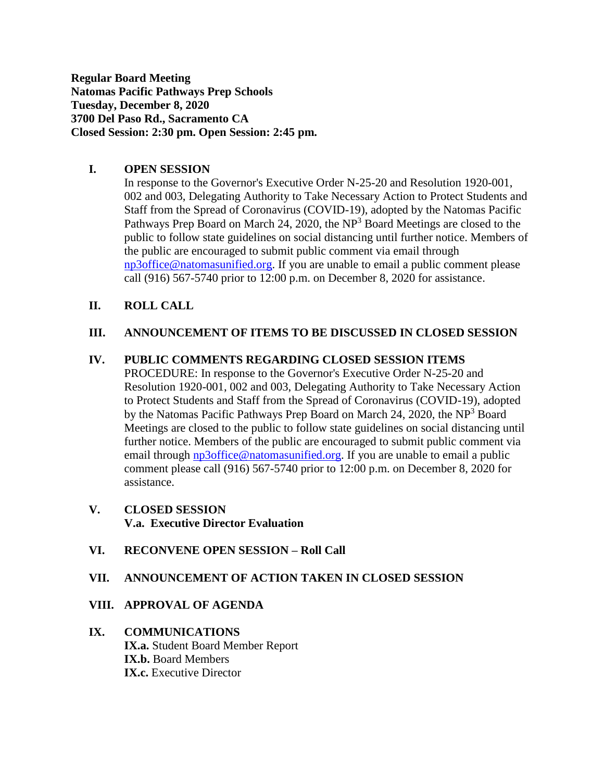**Regular Board Meeting Natomas Pacific Pathways Prep Schools Tuesday, December 8, 2020 3700 Del Paso Rd., Sacramento CA Closed Session: 2:30 pm. Open Session: 2:45 pm.**

## **I. OPEN SESSION**

In response to the Governor's Executive Order N-25-20 and Resolution 1920-001, 002 and 003, Delegating Authority to Take Necessary Action to Protect Students and Staff from the Spread of Coronavirus (COVID-19), adopted by the Natomas Pacific Pathways Prep Board on March 24, 2020, the  $NP<sup>3</sup>$  Board Meetings are closed to the public to follow state guidelines on social distancing until further notice. Members of the public are encouraged to submit public comment via email through [np3office@natomasunified.org.](mailto:np3office@natomasunified.org) If you are unable to email a public comment please call (916) 567-5740 prior to 12:00 p.m. on December 8, 2020 for assistance.

## **II. ROLL CALL**

## **III. ANNOUNCEMENT OF ITEMS TO BE DISCUSSED IN CLOSED SESSION**

## **IV. PUBLIC COMMENTS REGARDING CLOSED SESSION ITEMS**

PROCEDURE: In response to the Governor's Executive Order N-25-20 and Resolution 1920-001, 002 and 003, Delegating Authority to Take Necessary Action to Protect Students and Staff from the Spread of Coronavirus (COVID-19), adopted by the Natomas Pacific Pathways Prep Board on March 24, 2020, the NP<sup>3</sup> Board Meetings are closed to the public to follow state guidelines on social distancing until further notice. Members of the public are encouraged to submit public comment via email through [np3office@natomasunified.org.](mailto:np3office@natomasunified.org) If you are unable to email a public comment please call (916) 567-5740 prior to 12:00 p.m. on December 8, 2020 for assistance.

## **V. CLOSED SESSION V.a. Executive Director Evaluation**

## **VI. RECONVENE OPEN SESSION – Roll Call**

## **VII. ANNOUNCEMENT OF ACTION TAKEN IN CLOSED SESSION**

## **VIII. APPROVAL OF AGENDA**

# **IX. COMMUNICATIONS IX.a.** Student Board Member Report **IX.b.** Board Members **IX.c.** Executive Director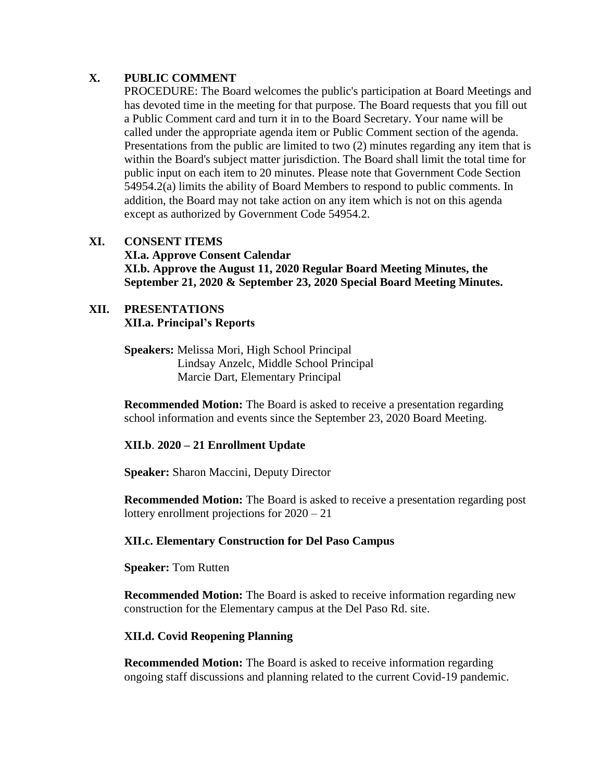# **X. PUBLIC COMMENT**

PROCEDURE: The Board welcomes the public's participation at Board Meetings and has devoted time in the meeting for that purpose. The Board requests that you fill out a Public Comment card and turn it in to the Board Secretary. Your name will be called under the appropriate agenda item or Public Comment section of the agenda. Presentations from the public are limited to two (2) minutes regarding any item that is within the Board's subject matter jurisdiction. The Board shall limit the total time for public input on each item to 20 minutes. Please note that Government Code Section 54954.2(a) limits the ability of Board Members to respond to public comments. In addition, the Board may not take action on any item which is not on this agenda except as authorized by Government Code 54954.2.

# **XI. CONSENT ITEMS XI.a. Approve Consent Calendar XI.b. Approve the August 11, 2020 Regular Board Meeting Minutes, the September 21, 2020 & September 23, 2020 Special Board Meeting Minutes.**

## **XII. PRESENTATIONS XII.a. Principal's Reports**

**Speakers:** Melissa Mori, High School Principal Lindsay Anzelc, Middle School Principal Marcie Dart, Elementary Principal

**Recommended Motion:** The Board is asked to receive a presentation regarding school information and events since the September 23, 2020 Board Meeting.

# **XII.b**. **2020 – 21 Enrollment Update**

**Speaker:** Sharon Maccini, Deputy Director

**Recommended Motion:** The Board is asked to receive a presentation regarding post lottery enrollment projections for 2020 – 21

# **XII.c. Elementary Construction for Del Paso Campus**

**Speaker:** Tom Rutten

**Recommended Motion:** The Board is asked to receive information regarding new construction for the Elementary campus at the Del Paso Rd. site.

# **XII.d. Covid Reopening Planning**

**Recommended Motion:** The Board is asked to receive information regarding ongoing staff discussions and planning related to the current Covid-19 pandemic.